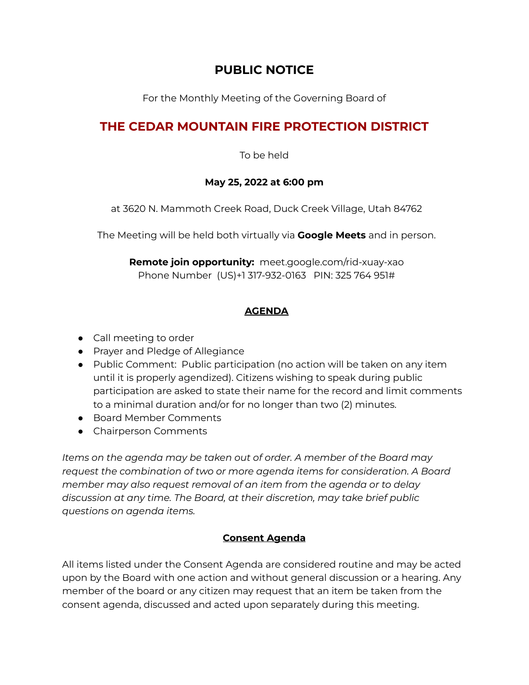## **PUBLIC NOTICE**

For the Monthly Meeting of the Governing Board of

# **THE CEDAR MOUNTAIN FIRE PROTECTION DISTRICT**

To be held

### **May 25, 2022 at 6:00 pm**

at 3620 N. Mammoth Creek Road, Duck Creek Village, Utah 84762

The Meeting will be held both virtually via **Google Meets** and in person.

**Remote join opportunity:** [meet.google.com/rid-xuay-xao](https://meet.google.com/rid-xuay-xao?hs=122&authuser=0) Phone Number (US)+1 317-932-0163 PIN: 325 764 951#

## **AGENDA**

- Call meeting to order
- Prayer and Pledge of Allegiance
- Public Comment: Public participation (no action will be taken on any item until it is properly agendized). Citizens wishing to speak during public participation are asked to state their name for the record and limit comments to a minimal duration and/or for no longer than two (2) minutes.
- Board Member Comments
- Chairperson Comments

*Items on the agenda may be taken out of order. A member of the Board may request the combination of two or more agenda items for consideration. A Board member may also request removal of an item from the agenda or to delay discussion at any time. The Board, at their discretion, may take brief public questions on agenda items.*

## **Consent Agenda**

All items listed under the Consent Agenda are considered routine and may be acted upon by the Board with one action and without general discussion or a hearing. Any member of the board or any citizen may request that an item be taken from the consent agenda, discussed and acted upon separately during this meeting.